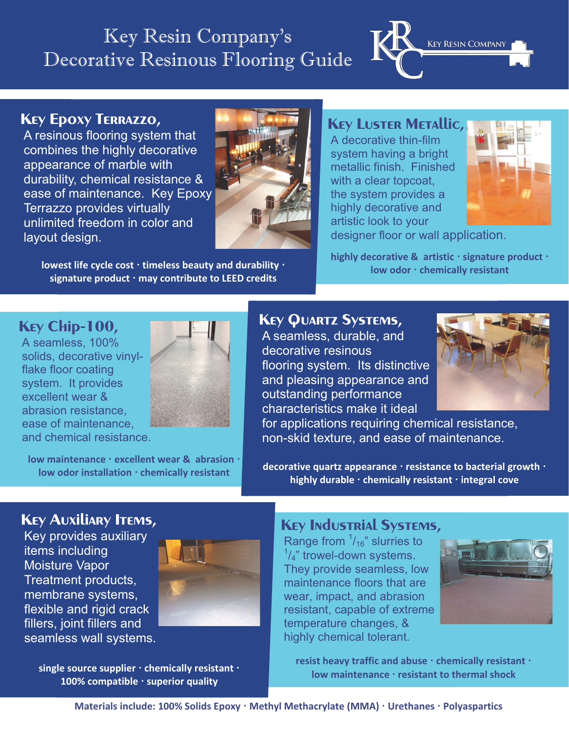# Key Resin Company's Decorative Resinous Flooring Guide



## **Key Epoxy Terrazzo,**

A resinous flooring system that combines the highly decorative appearance of marble with durability, chemical resistance & ease of maintenance. Key Epoxy Terrazzo provides virtually unlimited freedom in color and layout design.



**lowest life cycle cost · timeless beauty and durability · signature product · may contribute to LEED credits** 

**Key Luster Metallic,** 

A decorative thin-film system having a bright metallic finish. Finished with a clear topcoat. the system provides a highly decorative and artistic look to your



designer floor or wall application.

**highly decorative & artistic · signature product · low odor · chemically resistant**

#### **Key Chip-100,**

A seamless, 100% solids, decorative vinylflake floor coating system. It provides excellent wear & abrasion resistance, ease of maintenance, and chemical resistance.



**low maintenance · excellent wear & abrasion · low odor installation · chemically resistant**

#### **Key Quartz Systems,**

A seamless, durable, and decorative resinous flooring system. Its distinctive and pleasing appearance and outstanding performance characteristics make it ideal



 for applications requiring chemical resistance, non-skid texture, and ease of maintenance.

**decorative quartz appearance · resistance to bacterial growth · highly durable · chemically resistant · integral cove**

### **Key Auxiliary Items,**

Key provides auxiliary items including Moisture Vapor Treatment products, membrane systems, flexible and rigid crack fillers, joint fillers and seamless wall systems.



**single source supplier · chemically resistant · 100% compatible · superior quality**

#### **Key Industrial Systems,**

Range from  $\frac{1}{16}$ " slurries to  $\frac{1}{4}$ " trowel-down systems. They provide seamless, low maintenance floors that are wear, impact, and abrasion resistant, capable of extreme temperature changes, & highly chemical tolerant.



**resist heavy traffic and abuse · chemically resistant · low maintenance · resistant to thermal shock**